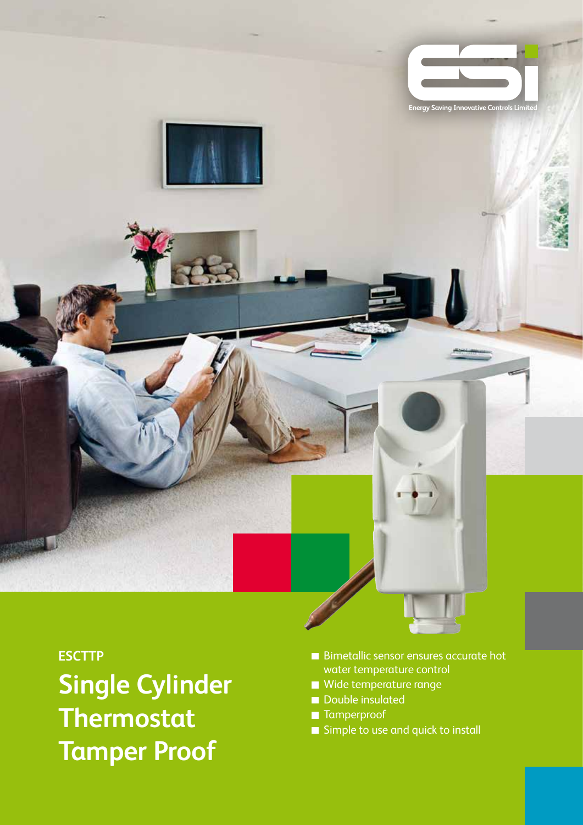

### **ESCTTP**

**Single Cylinder Thermostat Tamper Proof**

- Bimetallic sensor ensures accurate hot water temperature control
- Wide temperature range
- Double insulated
- **Tamperproof**
- Simple to use and quick to install